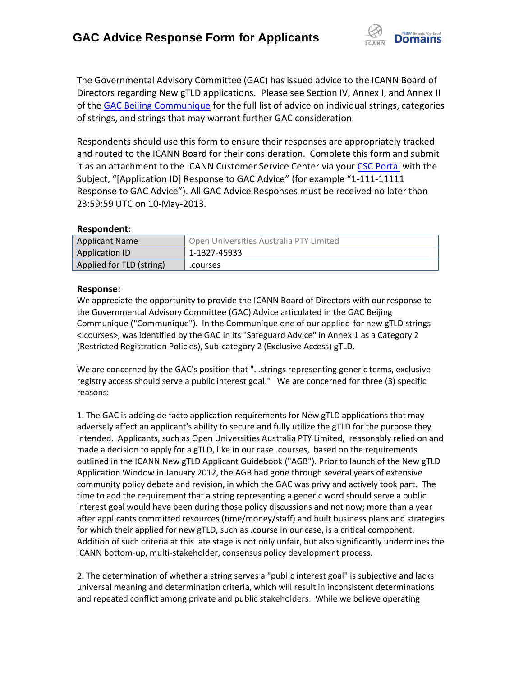

The Governmental Advisory Committee (GAC) has issued advice to the ICANN Board of Directors regarding New gTLD applications. Please see Section IV, Annex I, and Annex II of the [GAC Beijing Communique](http://www.icann.org/en/news/correspondence/gac-to-board-18apr13-en.pdf) for the full list of advice on individual strings, categories of strings, and strings that may warrant further GAC consideration.

Respondents should use this form to ensure their responses are appropriately tracked and routed to the ICANN Board for their consideration. Complete this form and submit it as an attachment to the ICANN Customer Service Center via your CSC [Portal](https://myicann.secure.force.com/) with the Subject, "[Application ID] Response to GAC Advice" (for example "1-111-11111 Response to GAC Advice"). All GAC Advice Responses must be received no later than 23:59:59 UTC on 10-May-2013.

## **Respondent:**

| <b>Applicant Name</b>    | Open Universities Australia PTY Limited |
|--------------------------|-----------------------------------------|
| Application ID           | 1-1327-45933                            |
| Applied for TLD (string) | .courses                                |

## **Response:**

We appreciate the opportunity to provide the ICANN Board of Directors with our response to the Governmental Advisory Committee (GAC) Advice articulated in the GAC Beijing Communique ("Communique"). In the Communique one of our applied-for new gTLD strings <.courses>, was identified by the GAC in its "Safeguard Advice" in Annex 1 as a Category 2 (Restricted Registration Policies), Sub-category 2 (Exclusive Access) gTLD.

We are concerned by the GAC's position that "…strings representing generic terms, exclusive registry access should serve a public interest goal." We are concerned for three (3) specific reasons:

1. The GAC is adding de facto application requirements for New gTLD applications that may adversely affect an applicant's ability to secure and fully utilize the gTLD for the purpose they intended. Applicants, such as Open Universities Australia PTY Limited, reasonably relied on and made a decision to apply for a gTLD, like in our case .courses, based on the requirements outlined in the ICANN New gTLD Applicant Guidebook ("AGB"). Prior to launch of the New gTLD Application Window in January 2012, the AGB had gone through several years of extensive community policy debate and revision, in which the GAC was privy and actively took part. The time to add the requirement that a string representing a generic word should serve a public interest goal would have been during those policy discussions and not now; more than a year after applicants committed resources (time/money/staff) and built business plans and strategies for which their applied for new gTLD, such as .course in our case, is a critical component. Addition of such criteria at this late stage is not only unfair, but also significantly undermines the ICANN bottom-up, multi-stakeholder, consensus policy development process.

2. The determination of whether a string serves a "public interest goal" is subjective and lacks universal meaning and determination criteria, which will result in inconsistent determinations and repeated conflict among private and public stakeholders. While we believe operating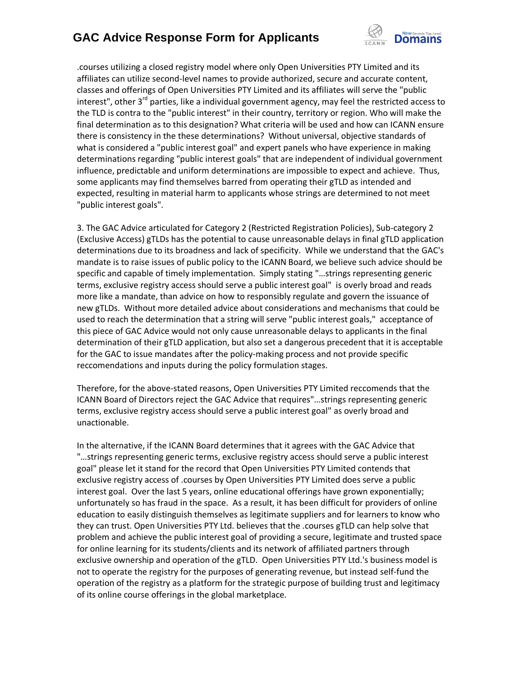## **GAC Advice Response Form for Applicants**



.courses utilizing a closed registry model where only Open Universities PTY Limited and its affiliates can utilize second-level names to provide authorized, secure and accurate content, classes and offerings of Open Universities PTY Limited and its affiliates will serve the "public interest", other 3<sup>rd</sup> parties, like a individual government agency, may feel the restricted access to the TLD is contra to the "public interest" in their country, territory or region. Who will make the final determination as to this designation? What criteria will be used and how can ICANN ensure there is consistency in the these determinations? Without universal, objective standards of what is considered a "public interest goal" and expert panels who have experience in making determinations regarding "public interest goals" that are independent of individual government influence, predictable and uniform determinations are impossible to expect and achieve. Thus, some applicants may find themselves barred from operating their gTLD as intended and expected, resulting in material harm to applicants whose strings are determined to not meet "public interest goals".

3. The GAC Advice articulated for Category 2 (Restricted Registration Policies), Sub-category 2 (Exclusive Access) gTLDs has the potential to cause unreasonable delays in final gTLD application determinations due to its broadness and lack of specificity. While we understand that the GAC's mandate is to raise issues of public policy to the ICANN Board, we believe such advice should be specific and capable of timely implementation. Simply stating "…strings representing generic terms, exclusive registry access should serve a public interest goal" is overly broad and reads more like a mandate, than advice on how to responsibly regulate and govern the issuance of new gTLDs. Without more detailed advice about considerations and mechanisms that could be used to reach the determination that a string will serve "public interest goals," acceptance of this piece of GAC Advice would not only cause unreasonable delays to applicants in the final determination of their gTLD application, but also set a dangerous precedent that it is acceptable for the GAC to issue mandates after the policy-making process and not provide specific reccomendations and inputs during the policy formulation stages.

Therefore, for the above-stated reasons, Open Universities PTY Limited reccomends that the ICANN Board of Directors reject the GAC Advice that requires"…strings representing generic terms, exclusive registry access should serve a public interest goal" as overly broad and unactionable.

In the alternative, if the ICANN Board determines that it agrees with the GAC Advice that "…strings representing generic terms, exclusive registry access should serve a public interest goal" please let it stand for the record that Open Universities PTY Limited contends that exclusive registry access of .courses by Open Universities PTY Limited does serve a public interest goal. Over the last 5 years, online educational offerings have grown exponentially; unfortunately so has fraud in the space. As a result, it has been difficult for providers of online education to easily distinguish themselves as legitimate suppliers and for learners to know who they can trust. Open Universities PTY Ltd. believes that the .courses gTLD can help solve that problem and achieve the public interest goal of providing a secure, legitimate and trusted space for online learning for its students/clients and its network of affiliated partners through exclusive ownership and operation of the gTLD. Open Universities PTY Ltd.'s business model is not to operate the registry for the purposes of generating revenue, but instead self-fund the operation of the registry as a platform for the strategic purpose of building trust and legitimacy of its online course offerings in the global marketplace.